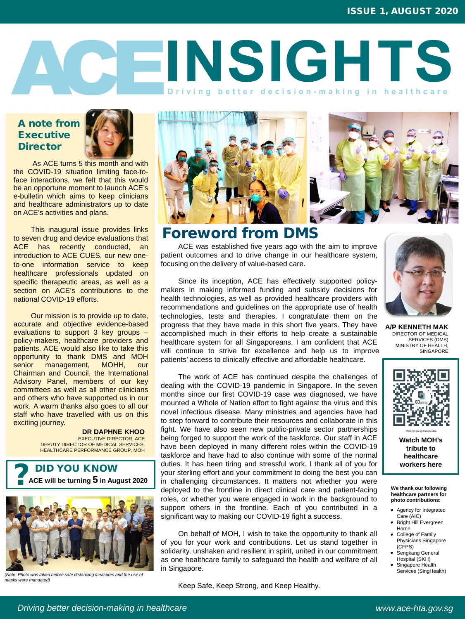

**A/P KENNETH MAK** DIRECTOR OF MEDICAL SERVICES (DMS) MINISTRY OF HEALTH, **SINGAPORE** 

# **QEINSIGHTS** Driving better decision-making in healthcare



Keep Safe, Keep Strong, and Keep Healthy.

# Foreword from DMS

ACE was established five years ago with the aim to improve patient outcomes and to drive change in our healthcare system, focusing on the delivery of value-based care.

The work of ACE has continued despite the challenges of dealing with the COVID-19 pandemic in Singapore. In the seven months since our first COVID-19 case was diagnosed, we have mounted a Whole of Nation effort to fight against the virus and this novel infectious disease. Many ministries and agencies have had to step forward to contribute their resources and collaborate in this fight. We have also seen new public-private sector partnerships being forged to support the work of the taskforce. Our staff in ACE have been deployed in many different roles within the COVID-19 taskforce and have had to also continue with some of the normal duties. It has been tiring and stressful work. I thank all of you for your sterling effort and your commitment to doing the best you can in challenging circumstances. It matters not whether you were deployed to the frontline in direct clinical care and patient-facing roles, or whether you were engaged in work in the background to support others in the frontline. Each of you contributed in a significant way to making our COVID-19 fight a success. **POLICITY ACE will be turning 5 in August 2020 and all of the fronting and stressful work. I thank all of you for <b>and the stress here** you can **all the turning 5** in August 2020 in challenging circumstances. It matters

Since its inception, ACE has effectively supported policymakers in making informed funding and subsidy decisions for health technologies, as well as provided healthcare providers with recommendations and guidelines on the appropriate use of health technologies, tests and therapies. I congratulate them on the progress that they have made in this short five years. They have accomplished much in their efforts to help create a sustainable healthcare system for all Singaporeans. I am confident that ACE will continue to strive for excellence and help us to improve patients' access to clinically effective and affordable healthcare.

### A note from Executive **Director**



On behalf of MOH, I wish to take the opportunity to thank all of you for your work and contributions. Let us stand together in solidarity, unshaken and resilient in spirit, united in our commitment as one healthcare family to safeguard the health and welfare of all in Singapore.

**We thank our following healthcare partners for photo contributions:**

- Agency for Integrated Care (AIC)
- **\*** Bright Hill Evergreen Home
- College of Family Physicians Singapore (CFPS)
- **\*** Sengkang General Hospital (SKH)
- **\*** Singapore Health Services (SingHealth)

**Watch MOH's tribute to healthcare** 

*Driving better decision-making in healthcare www.ace-hta.gov.sg*



*(Note: Photo was taken before safe distancing measures and the use of masks were mandated)*

As ACE turns 5 this month and with the COVID-19 situation limiting face-toface interactions, we felt that this would be an opportune moment to launch ACE's e-bulletin which aims to keep clinicians and healthcare administrators up to date on ACE's activities and plans.

This inaugural issue provides links to seven drug and device evaluations that ACE has recently conducted, an introduction to ACE CUES, our new oneto-one information service to keep healthcare professionals updated on specific therapeutic areas, as well as a section on ACE's contributions to the national COVID-19 efforts.

Our mission is to provide up to date, accurate and objective evidence-based evaluations to support 3 key groups – policy-makers, healthcare providers and patients. ACE would also like to take this opportunity to thank DMS and MOH senior management, MOHH, our Chairman and Council, the International Advisory Panel, members of our key committees as well as all other clinicians and others who have supported us in our work. A warm thanks also goes to all our staff who have travelled with us on this exciting journey.

### **DR DAPHNE KHOO**



EXECUTIVE DIRECTOR, ACE DEPUTY DIRECTOR OF MEDICAL SERVICES, HEALTHCARE PERFORMANCE GROUP, MOH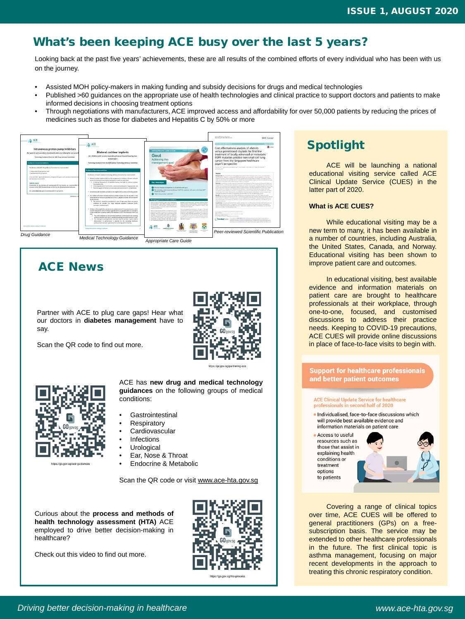Curious about the **process and methods of health technology assessment (HTA)** ACE employed to drive better decision-making in healthcare?

Check out this video to find out more.



https://go.gov.sg/hta-proce:

resources such as those that assist in explaining health conditions or treatment options to patients

# What's been keeping ACE busy over the last 5 years?

### *Driving better decision-making in healthcare www.ace-hta.gov.sg*

# Spotlight

ACE will be launching a national educational visiting service called ACE Clinical Update Service (CUES) in the latter part of 2020.

### **What is ACE CUES?**

While educational visiting may be a new term to many, it has been available in a number of countries, including Australia, the United States, Canada, and Norway. Educational visiting has been shown to improve patient care and outcomes.

- **Infections**
- **Urological**
- Ear, Nose & Throat
- Endocrine & Metabolic

In educational visiting, best available evidence and information materials on patient care are brought to healthcare professionals at their workplace, through one-to-one, focused, and customised discussions to address their practice needs. Keeping to COVID-19 precautions, ACE CUES will provide online discussions in place of face-to-face visits to begin with.

### **Support for healthcare professionals** and better patient outcomes

### **ACE Clinical Update Service for healthcare** professionals in second half of 2020

· Individualised, face-to-face discussions which will provide best available evidence and information materials on patient care





Covering a range of clinical topics over time, ACE CUES will be offered to general practitioners (GPs) on a freesubscription basis. The service may be extended to other healthcare professionals in the future. The first clinical topic is asthma management, focusing on major recent developments in the approach to treating this chronic respiratory condition.

# ACE News

ACE has **new drug and medical technology guidances** on the following groups of medical conditions:

- **Gastrointestinal**
- **Respiratory**
- **Cardiovascular**

Scan the QR code or visit [www.ace-hta.gov.sg](http://www.ace-hta.gov.sg/)

Looking back at the past five years' achievements, these are all results of the combined efforts of every individual who has been with us on the journey.

- Assisted MOH policy-makers in making funding and subsidy decisions for drugs and medical technologies
- Published >60 guidances on the appropriate use of health technologies and clinical practice to support doctors and patients to make informed decisions in choosing treatment options
- Through negotiations with manufacturers, ACE improved access and affordability for over 50,000 patients by reducing the prices of medicines such as those for diabetes and Hepatitis C by 50% or more



Partner with ACE to plug care gaps! Hear what our doctors in **diabetes management** have to say.

Scan the QR code to find out more.



#### https://go.gov.sg/partnering